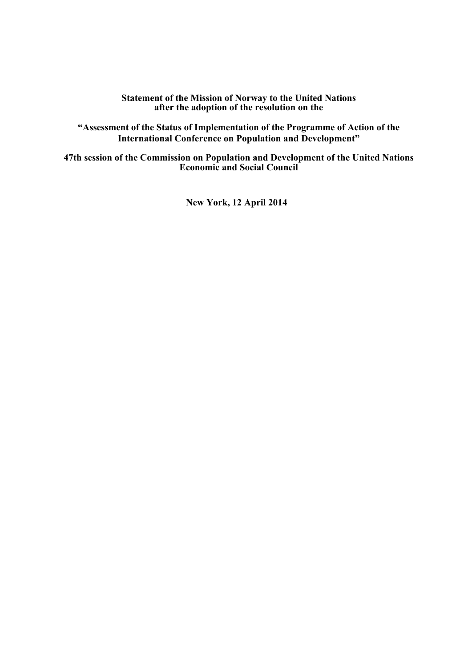**Statement of the Mission of Norway to the United Nations after the adoption of the resolution on the** 

**"Assessment of the Status of Implementation of the Programme of Action of the International Conference on Population and Development"** 

**47th session of the Commission on Population and Development of the United Nations Economic and Social Council** 

**New York, 12 April 2014**